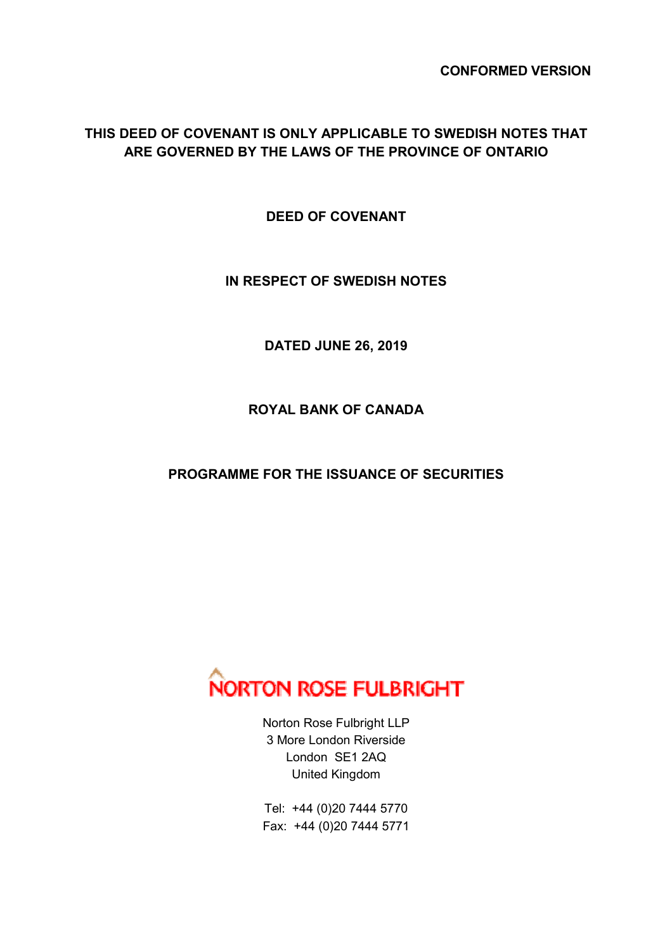**CONFORMED VERSION** 

## **THIS DEED OF COVENANT IS ONLY APPLICABLE TO SWEDISH NOTES THAT ARE GOVERNED BY THE LAWS OF THE PROVINCE OF ONTARIO**

**DEED OF COVENANT** 

**IN RESPECT OF SWEDISH NOTES** 

**DATED JUNE 26, 2019** 

**ROYAL BANK OF CANADA** 

**PROGRAMME FOR THE ISSUANCE OF SECURITIES** 



Norton Rose Fulbright LLP 3 More London Riverside London SE1 2AQ United Kingdom

Tel: +44 (0)20 7444 5770 Fax: +44 (0)20 7444 5771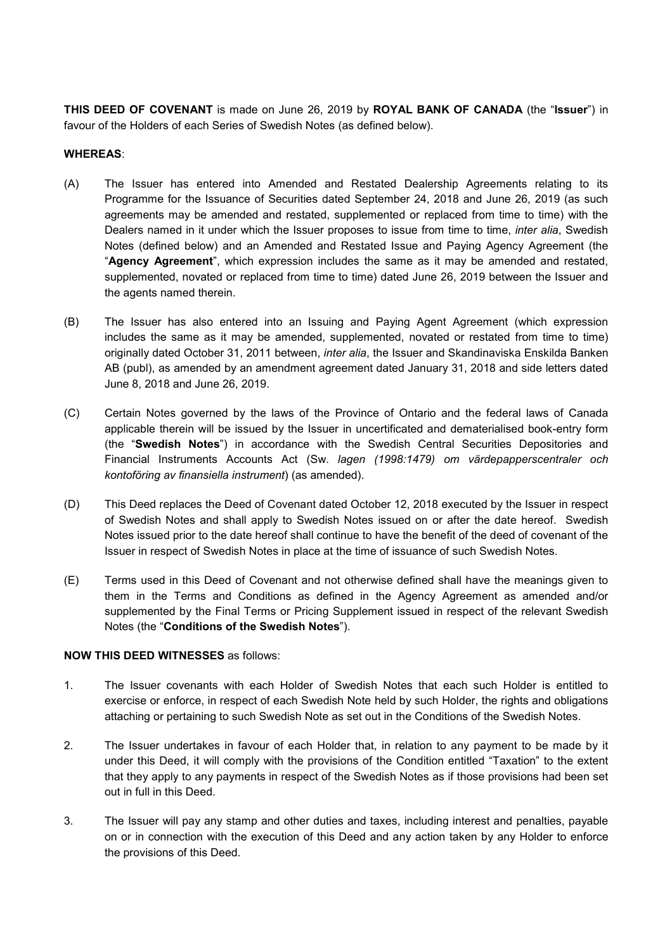**THIS DEED OF COVENANT** is made on June 26, 2019 by **ROYAL BANK OF CANADA** (the "**Issuer**") in favour of the Holders of each Series of Swedish Notes (as defined below).

## **WHEREAS**:

- (A) The Issuer has entered into Amended and Restated Dealership Agreements relating to its Programme for the Issuance of Securities dated September 24, 2018 and June 26, 2019 (as such agreements may be amended and restated, supplemented or replaced from time to time) with the Dealers named in it under which the Issuer proposes to issue from time to time, *inter alia*, Swedish Notes (defined below) and an Amended and Restated Issue and Paying Agency Agreement (the "**Agency Agreement**", which expression includes the same as it may be amended and restated, supplemented, novated or replaced from time to time) dated June 26, 2019 between the Issuer and the agents named therein.
- (B) The Issuer has also entered into an Issuing and Paying Agent Agreement (which expression includes the same as it may be amended, supplemented, novated or restated from time to time) originally dated October 31, 2011 between, *inter alia*, the Issuer and Skandinaviska Enskilda Banken AB (publ), as amended by an amendment agreement dated January 31, 2018 and side letters dated June 8, 2018 and June 26, 2019.
- (C) Certain Notes governed by the laws of the Province of Ontario and the federal laws of Canada applicable therein will be issued by the Issuer in uncertificated and dematerialised book-entry form (the "**Swedish Notes**") in accordance with the Swedish Central Securities Depositories and Financial Instruments Accounts Act (Sw. *lagen (1998:1479) om värdepapperscentraler och kontoföring av finansiella instrument*) (as amended).
- (D) This Deed replaces the Deed of Covenant dated October 12, 2018 executed by the Issuer in respect of Swedish Notes and shall apply to Swedish Notes issued on or after the date hereof. Swedish Notes issued prior to the date hereof shall continue to have the benefit of the deed of covenant of the Issuer in respect of Swedish Notes in place at the time of issuance of such Swedish Notes.
- (E) Terms used in this Deed of Covenant and not otherwise defined shall have the meanings given to them in the Terms and Conditions as defined in the Agency Agreement as amended and/or supplemented by the Final Terms or Pricing Supplement issued in respect of the relevant Swedish Notes (the "**Conditions of the Swedish Notes**").

## **NOW THIS DEED WITNESSES** as follows:

- 1. The Issuer covenants with each Holder of Swedish Notes that each such Holder is entitled to exercise or enforce, in respect of each Swedish Note held by such Holder, the rights and obligations attaching or pertaining to such Swedish Note as set out in the Conditions of the Swedish Notes.
- 2. The Issuer undertakes in favour of each Holder that, in relation to any payment to be made by it under this Deed, it will comply with the provisions of the Condition entitled "Taxation" to the extent that they apply to any payments in respect of the Swedish Notes as if those provisions had been set out in full in this Deed.
- 3. The Issuer will pay any stamp and other duties and taxes, including interest and penalties, payable on or in connection with the execution of this Deed and any action taken by any Holder to enforce the provisions of this Deed.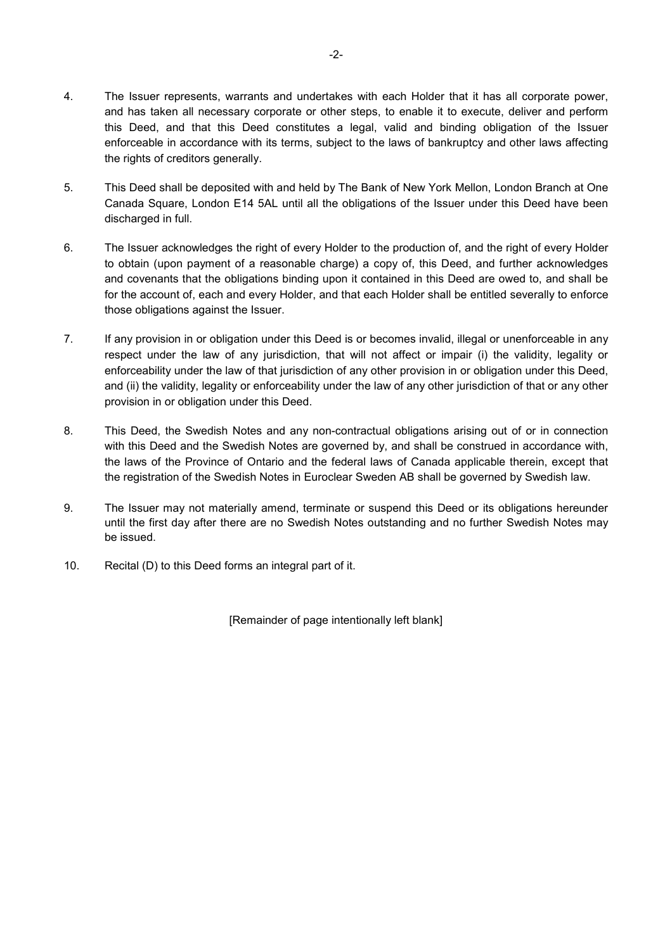- 4. The Issuer represents, warrants and undertakes with each Holder that it has all corporate power, and has taken all necessary corporate or other steps, to enable it to execute, deliver and perform this Deed, and that this Deed constitutes a legal, valid and binding obligation of the Issuer enforceable in accordance with its terms, subject to the laws of bankruptcy and other laws affecting the rights of creditors generally.
- 5. This Deed shall be deposited with and held by The Bank of New York Mellon, London Branch at One Canada Square, London E14 5AL until all the obligations of the Issuer under this Deed have been discharged in full.
- 6. The Issuer acknowledges the right of every Holder to the production of, and the right of every Holder to obtain (upon payment of a reasonable charge) a copy of, this Deed, and further acknowledges and covenants that the obligations binding upon it contained in this Deed are owed to, and shall be for the account of, each and every Holder, and that each Holder shall be entitled severally to enforce those obligations against the Issuer.
- 7. If any provision in or obligation under this Deed is or becomes invalid, illegal or unenforceable in any respect under the law of any jurisdiction, that will not affect or impair (i) the validity, legality or enforceability under the law of that jurisdiction of any other provision in or obligation under this Deed, and (ii) the validity, legality or enforceability under the law of any other jurisdiction of that or any other provision in or obligation under this Deed.
- 8. This Deed, the Swedish Notes and any non-contractual obligations arising out of or in connection with this Deed and the Swedish Notes are governed by, and shall be construed in accordance with, the laws of the Province of Ontario and the federal laws of Canada applicable therein, except that the registration of the Swedish Notes in Euroclear Sweden AB shall be governed by Swedish law.
- 9. The Issuer may not materially amend, terminate or suspend this Deed or its obligations hereunder until the first day after there are no Swedish Notes outstanding and no further Swedish Notes may be issued.
- 10. Recital (D) to this Deed forms an integral part of it.

[Remainder of page intentionally left blank]